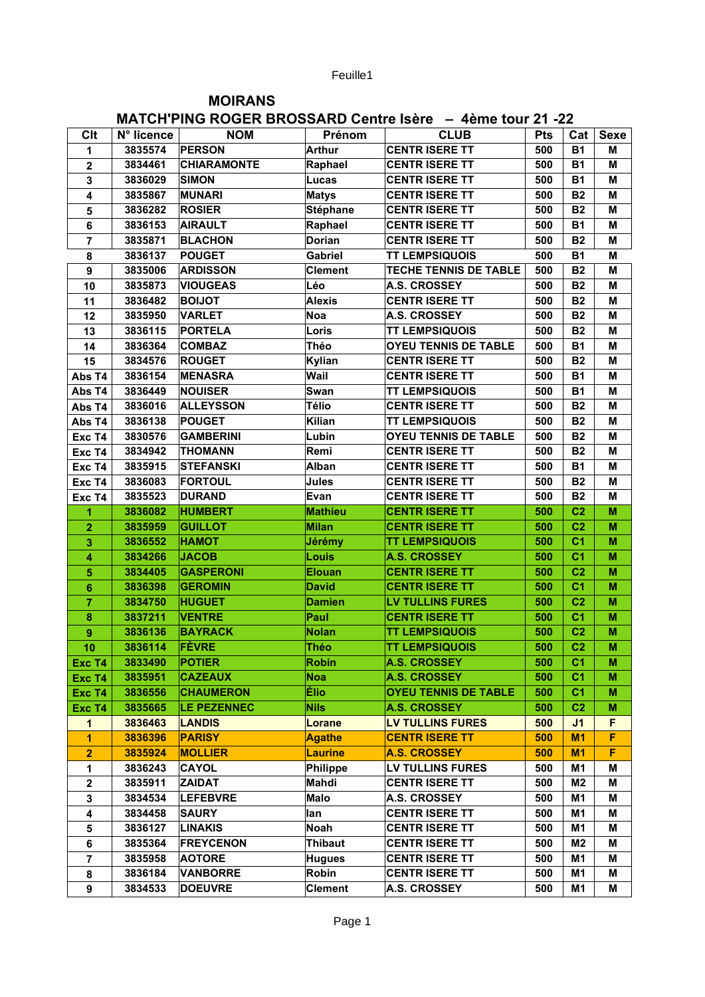Feuille1

## **MOIRANS** MATCH'PING ROGER BROSSARD Centre Isere  $= 4$ ème tour 21-22

|                         |            | <b>MATURI FING KUGEK DRUSSAKU UBITUB ISBIB</b> |                 | <b>- 40110 LOUI 41 -44</b>   |            |                |             |
|-------------------------|------------|------------------------------------------------|-----------------|------------------------------|------------|----------------|-------------|
| Clt                     | N° licence | <b>NOM</b>                                     | Prénom          | <b>CLUB</b>                  | <b>Pts</b> | Cat            | <b>Sexe</b> |
| 1                       | 3835574    | <b>PERSON</b>                                  | <b>Arthur</b>   | <b>CENTR ISERE TT</b>        | 500        | <b>B1</b>      | Μ           |
| $\overline{\mathbf{2}}$ | 3834461    | <b>CHIARAMONTE</b>                             | Raphael         | <b>CENTR ISERE TT</b>        | 500        | <b>B1</b>      | M           |
| $\mathbf{3}$            | 3836029    | <b>SIMON</b>                                   | Lucas           | <b>CENTR ISERE TT</b>        | 500        | <b>B1</b>      | M           |
| 4                       | 3835867    | <b>MUNARI</b>                                  | <b>Matys</b>    | <b>CENTR ISERE TT</b>        | 500        | <b>B2</b>      | M           |
| 5                       | 3836282    | <b>ROSIER</b>                                  | <b>Stéphane</b> | <b>CENTR ISERE TT</b>        | 500        | <b>B2</b>      | M           |
| 6                       | 3836153    | <b>AIRAULT</b>                                 | Raphael         | <b>CENTR ISERE TT</b>        | 500        | <b>B1</b>      | M           |
| 7                       | 3835871    | <b>BLACHON</b>                                 | <b>Dorian</b>   | <b>CENTR ISERE TT</b>        | 500        | <b>B2</b>      | M           |
| 8                       | 3836137    | <b>POUGET</b>                                  | <b>Gabriel</b>  | <b>TT LEMPSIQUOIS</b>        | 500        | <b>B1</b>      | M           |
| 9                       | 3835006    | <b>ARDISSON</b>                                | <b>Clement</b>  | <b>TECHE TENNIS DE TABLE</b> | 500        | <b>B2</b>      | M           |
| 10                      | 3835873    | <b>VIOUGEAS</b>                                | Léo             | <b>A.S. CROSSEY</b>          | 500        | <b>B2</b>      | M           |
| 11                      | 3836482    | <b>BOIJOT</b>                                  | <b>Alexis</b>   | <b>CENTR ISERE TT</b>        | 500        | <b>B2</b>      | M           |
| 12                      | 3835950    | <b>VARLET</b>                                  | <b>Noa</b>      | <b>A.S. CROSSEY</b>          | 500        | <b>B2</b>      | M           |
| 13                      | 3836115    | <b>PORTELA</b>                                 | Loris           | <b>TT LEMPSIQUOIS</b>        | 500        | <b>B2</b>      | M           |
| 14                      | 3836364    | <b>COMBAZ</b>                                  | Théo            | <b>OYEU TENNIS DE TABLE</b>  | 500        | <b>B1</b>      | M           |
| 15                      | 3834576    | <b>ROUGET</b>                                  | Kylian          | <b>CENTR ISERE TT</b>        | 500        | <b>B2</b>      | M           |
| Abs T4                  | 3836154    | <b>MENASRA</b>                                 | Wail            | <b>CENTR ISERE TT</b>        | 500        | <b>B1</b>      | M           |
| Abs T4                  | 3836449    | <b>NOUISER</b>                                 | Swan            | <b>TT LEMPSIQUOIS</b>        | 500        | <b>B1</b>      | M           |
| Abs T4                  | 3836016    | <b>ALLEYSSON</b>                               | Télio           | <b>CENTR ISERE TT</b>        | 500        | <b>B2</b>      | M           |
| Abs T4                  | 3836138    | <b>POUGET</b>                                  | <b>Kilian</b>   | <b>TT LEMPSIQUOIS</b>        | 500        | <b>B2</b>      | M           |
| Exc T4                  | 3830576    | <b>GAMBERINI</b>                               | Lubin           | <b>OYEU TENNIS DE TABLE</b>  | 500        | <b>B2</b>      | M           |
| Exc T4                  | 3834942    | <b>THOMANN</b>                                 | Remi            | <b>CENTR ISERE TT</b>        | 500        | <b>B2</b>      | M           |
| Exc T4                  | 3835915    | <b>STEFANSKI</b>                               | Alban           | <b>CENTR ISERE TT</b>        | 500        | <b>B1</b>      | M           |
| Exc T4                  | 3836083    | <b>FORTOUL</b>                                 | Jules           | <b>CENTR ISERE TT</b>        | 500        | <b>B2</b>      | M           |
| Exc T4                  | 3835523    | <b>DURAND</b>                                  | Evan            | <b>CENTR ISERE TT</b>        | 500        | <b>B2</b>      | M           |
| 1                       | 3836082    | <b>HUMBERT</b>                                 | <b>Mathieu</b>  | <b>CENTR ISERE TT</b>        | 500        | C <sub>2</sub> | M           |
| $\overline{2}$          | 3835959    | <b>GUILLOT</b>                                 | <b>Milan</b>    | <b>CENTR ISERE TT</b>        | 500        | C <sub>2</sub> | M           |
| 3                       | 3836552    | <b>HAMOT</b>                                   | Jérémy          | <b>TT LEMPSIQUOIS</b>        | 500        | C <sub>1</sub> | M           |
| 4                       | 3834266    | <b>JACOB</b>                                   | Louis           | <b>A.S. CROSSEY</b>          | 500        | C <sub>1</sub> | M           |
| 5                       | 3834405    | <b>GASPERONI</b>                               | <b>Elouan</b>   | <b>CENTR ISERE TT</b>        | 500        | C <sub>2</sub> | M           |
| 6                       | 3836398    | <b>GEROMIN</b>                                 | <b>David</b>    | <b>CENTR ISERE TT</b>        | 500        | C <sub>1</sub> | M           |
| $\overline{7}$          | 3834750    | <b>HUGUET</b>                                  | <b>Damien</b>   | <b>LV TULLINS FURES</b>      | 500        | C <sub>2</sub> | M           |
| 8                       | 3837211    | <b>VENTRE</b>                                  | Paul            | <b>CENTR ISERE TT</b>        | 500        | C <sub>1</sub> | M           |
| 9                       | 3836136    | <b>BAYRACK</b>                                 | <b>Nolan</b>    | <b>TT LEMPSIQUOIS</b>        | 500        | C <sub>2</sub> | M           |
| 10                      | 3836114    | FÈVRE                                          | Théo            | <b>TT LEMPSIQUOIS</b>        | 500        | C <sub>2</sub> | M           |
| Exc T4                  | 3833490    | <b>POTIER</b>                                  | <b>Robin</b>    | <b>A.S. CROSSEY</b>          | 500        | C <sub>1</sub> | М           |
| Exc T4                  | 3835951    | <b>CAZEAUX</b>                                 | <b>Noa</b>      | <b>A.S. CROSSEY</b>          | 500        | C <sub>1</sub> | M           |
| Exc T4                  | 3836556    | <b>CHAUMERON</b>                               | Élio            | <b>OYEU TENNIS DE TABLE</b>  | 500        | C <sub>1</sub> | M           |
| Exc T4                  | 3835665    | <b>LE PEZENNEC</b>                             | <b>Nils</b>     | <b>A.S. CROSSEY</b>          | 500        | C <sub>2</sub> | M           |
| 1                       | 3836463    | <b>LANDIS</b>                                  | Lorane          | <b>LV TULLINS FURES</b>      | 500        | J <sub>1</sub> | F           |
| $\overline{\mathbf{1}}$ | 3836396    | <b>PARISY</b>                                  | <b>Agathe</b>   | <b>CENTR ISERE TT</b>        | 500        | M <sub>1</sub> | F           |
| $\overline{2}$          | 3835924    | <b>MOLLIER</b>                                 | <b>Laurine</b>  | <b>A.S. CROSSEY</b>          | 500        | M <sub>1</sub> | F           |
| 1                       | 3836243    | <b>CAYOL</b>                                   | <b>Philippe</b> | LV TULLINS FURES             | 500        | M1             | М           |
| $\mathbf 2$             | 3835911    | <b>ZAIDAT</b>                                  | Mahdi           | <b>CENTR ISERE TT</b>        | 500        | M <sub>2</sub> | М           |
| 3                       | 3834534    | <b>LEFEBVRE</b>                                | Malo            | <b>A.S. CROSSEY</b>          | 500        | M <sub>1</sub> | M           |
| 4                       | 3834458    | <b>SAURY</b>                                   | lan             | <b>CENTR ISERE TT</b>        | 500        | M <sub>1</sub> | M           |
| 5                       | 3836127    | <b>LINAKIS</b>                                 | Noah            | <b>CENTR ISERE TT</b>        | 500        | M <sub>1</sub> | M           |
| 6                       | 3835364    | <b>FREYCENON</b>                               | <b>Thibaut</b>  | <b>CENTR ISERE TT</b>        | 500        | M <sub>2</sub> | M           |
| $\overline{7}$          | 3835958    | <b>AOTORE</b>                                  | <b>Hugues</b>   | <b>CENTR ISERE TT</b>        | 500        | M <sub>1</sub> | М           |
| 8                       | 3836184    | <b>VANBORRE</b>                                | Robin           | <b>CENTR ISERE TT</b>        | 500        | M1             | M           |
| $\boldsymbol{9}$        | 3834533    | <b>DOEUVRE</b>                                 | <b>Clement</b>  | <b>A.S. CROSSEY</b>          | 500        | M1             | Μ           |